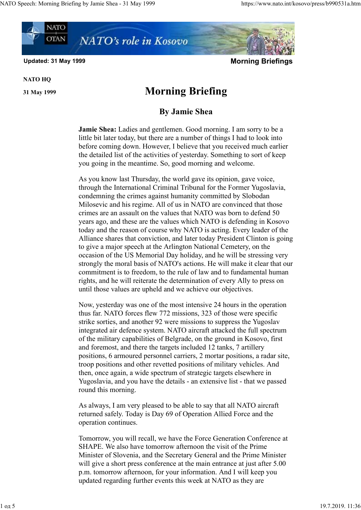

NATO HQ

## 31 May 1999 Morning Briefing

## By Jamie Shea

Jamie Shea: Ladies and gentlemen. Good morning. I am sorry to be a little bit later today, but there are a number of things I had to look into before coming down. However, I believe that you received much earlier the detailed list of the activities of yesterday. Something to sort of keep you going in the meantime. So, good morning and welcome.

As you know last Thursday, the world gave its opinion, gave voice, through the International Criminal Tribunal for the Former Yugoslavia, condemning the crimes against humanity committed by Slobodan Milosevic and his regime. All of us in NATO are convinced that those crimes are an assault on the values that NATO was born to defend 50 years ago, and these are the values which NATO is defending in Kosovo today and the reason of course why NATO is acting. Every leader of the Alliance shares that conviction, and later today President Clinton is going to give a major speech at the Arlington National Cemetery, on the occasion of the US Memorial Day holiday, and he will be stressing very strongly the moral basis of NATO's actions. He will make it clear that our commitment is to freedom, to the rule of law and to fundamental human rights, and he will reiterate the determination of every Ally to press on until those values are upheld and we achieve our objectives.

Now, yesterday was one of the most intensive 24 hours in the operation thus far. NATO forces flew 772 missions, 323 of those were specific strike sorties, and another 92 were missions to suppress the Yugoslav integrated air defence system. NATO aircraft attacked the full spectrum of the military capabilities of Belgrade, on the ground in Kosovo, first and foremost, and there the targets included 12 tanks, 7 artillery positions, 6 armoured personnel carriers, 2 mortar positions, a radar site, troop positions and other revetted positions of military vehicles. And then, once again, a wide spectrum of strategic targets elsewhere in Yugoslavia, and you have the details - an extensive list - that we passed round this morning.

As always, I am very pleased to be able to say that all NATO aircraft returned safely. Today is Day 69 of Operation Allied Force and the operation continues.

Tomorrow, you will recall, we have the Force Generation Conference at SHAPE. We also have tomorrow afternoon the visit of the Prime Minister of Slovenia, and the Secretary General and the Prime Minister will give a short press conference at the main entrance at just after 5.00 p.m. tomorrow afternoon, for your information. And I will keep you updated regarding further events this week at NATO as they are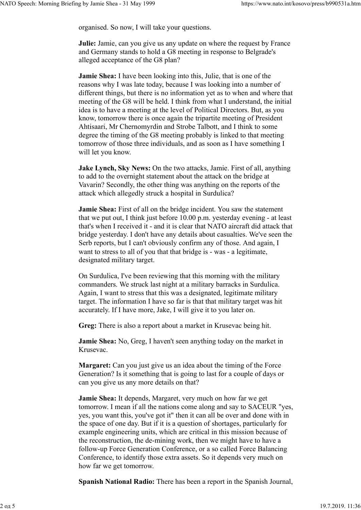organised. So now, I will take your questions.

Julie: Jamie, can you give us any update on where the request by France and Germany stands to hold a G8 meeting in response to Belgrade's alleged acceptance of the G8 plan?

Jamie Shea: I have been looking into this, Julie, that is one of the reasons why I was late today, because I was looking into a number of different things, but there is no information yet as to when and where that meeting of the G8 will be held. I think from what I understand, the initial idea is to have a meeting at the level of Political Directors. But, as you know, tomorrow there is once again the tripartite meeting of President Ahtisaari, Mr Chernomyrdin and Strobe Talbott, and I think to some degree the timing of the G8 meeting probably is linked to that meeting tomorrow of those three individuals, and as soon as I have something I will let you know.

Jake Lynch, Sky News: On the two attacks, Jamie. First of all, anything to add to the overnight statement about the attack on the bridge at Vavarin? Secondly, the other thing was anything on the reports of the attack which allegedly struck a hospital in Surdulica?

Jamie Shea: First of all on the bridge incident. You saw the statement that we put out, I think just before 10.00 p.m. yesterday evening - at least that's when I received it - and it is clear that NATO aircraft did attack that bridge yesterday. I don't have any details about casualties. We've seen the Serb reports, but I can't obviously confirm any of those. And again, I want to stress to all of you that that bridge is - was - a legitimate, designated military target.

On Surdulica, I've been reviewing that this morning with the military commanders. We struck last night at a military barracks in Surdulica. Again, I want to stress that this was a designated, legitimate military target. The information I have so far is that that military target was hit accurately. If I have more, Jake, I will give it to you later on.

Greg: There is also a report about a market in Krusevac being hit.

Jamie Shea: No, Greg, I haven't seen anything today on the market in Krusevac.

Margaret: Can you just give us an idea about the timing of the Force Generation? Is it something that is going to last for a couple of days or can you give us any more details on that?

Jamie Shea: It depends, Margaret, very much on how far we get tomorrow. I mean if all the nations come along and say to SACEUR "yes, yes, you want this, you've got it" then it can all be over and done with in the space of one day. But if it is a question of shortages, particularly for example engineering units, which are critical in this mission because of the reconstruction, the de-mining work, then we might have to have a follow-up Force Generation Conference, or a so called Force Balancing Conference, to identify those extra assets. So it depends very much on how far we get tomorrow.

Spanish National Radio: There has been a report in the Spanish Journal,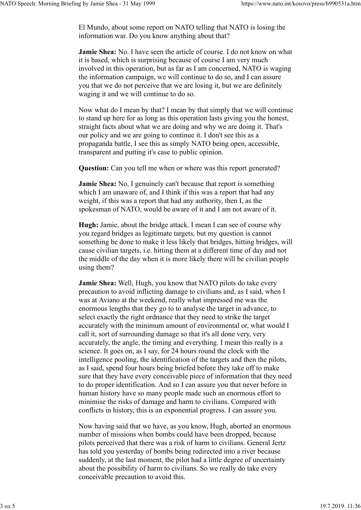El Mundo, about some report on NATO telling that NATO is losing the information war. Do you know anything about that?

Jamie Shea: No. I have seen the article of course. I do not know on what it is based, which is surprising because of course I am very much involved in this operation, but as far as I am concerned, NATO is waging the information campaign, we will continue to do so, and I can assure you that we do not perceive that we are losing it, but we are definitely waging it and we will continue to do so.

Now what do I mean by that? I mean by that simply that we will continue to stand up here for as long as this operation lasts giving you the honest, straight facts about what we are doing and why we are doing it. That's our policy and we are going to continue it. I don't see this as a propaganda battle, I see this as simply NATO being open, accessible, transparent and putting it's case to public opinion.

Question: Can you tell me when or where was this report generated?

Jamie Shea: No, I genuinely can't because that report is something which I am unaware of, and I think if this was a report that had any weight, if this was a report that had any authority, then I, as the spokesman of NATO, would be aware of it and I am not aware of it.

Hugh: Jamie, about the bridge attack. I mean I can see of course why you regard bridges as legitimate targets, but my question is cannot something be done to make it less likely that bridges, hitting bridges, will cause civilian targets, i.e. hitting them at a different time of day and not the middle of the day when it is more likely there will be civilian people using them?

Jamie Shea: Well, Hugh, you know that NATO pilots do take every precaution to avoid inflicting damage to civilians and, as I said, when I was at Aviano at the weekend, really what impressed me was the enormous lengths that they go to to analyse the target in advance, to select exactly the right ordnance that they need to strike the target accurately with the minimum amount of environmental or, what would I call it, sort of surrounding damage so that it's all done very, very accurately, the angle, the timing and everything. I mean this really is a science. It goes on, as I say, for 24 hours round the clock with the intelligence pooling, the identification of the targets and then the pilots, as I said, spend four hours being briefed before they take off to make sure that they have every conceivable piece of information that they need to do proper identification. And so I can assure you that never before in human history have so many people made such an enormous effort to minimise the risks of damage and harm to civilians. Compared with conflicts in history, this is an exponential progress. I can assure you.

Now having said that we have, as you know, Hugh, aborted an enormous number of missions when bombs could have been dropped, because pilots perceived that there was a risk of harm to civilians. General Jertz has told you yesterday of bombs being redirected into a river because suddenly, at the last moment, the pilot had a little degree of uncertainty about the possibility of harm to civilians. So we really do take every conceivable precaution to avoid this.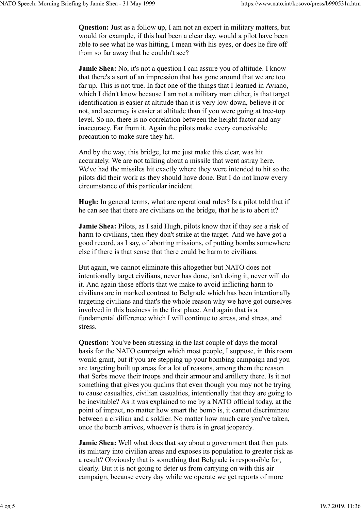Question: Just as a follow up, I am not an expert in military matters, but would for example, if this had been a clear day, would a pilot have been able to see what he was hitting, I mean with his eyes, or does he fire off from so far away that he couldn't see?

**Jamie Shea:** No, it's not a question I can assure you of altitude. I know that there's a sort of an impression that has gone around that we are too far up. This is not true. In fact one of the things that I learned in Aviano, which I didn't know because I am not a military man either, is that target identification is easier at altitude than it is very low down, believe it or not, and accuracy is easier at altitude than if you were going at tree-top level. So no, there is no correlation between the height factor and any inaccuracy. Far from it. Again the pilots make every conceivable precaution to make sure they hit.

And by the way, this bridge, let me just make this clear, was hit accurately. We are not talking about a missile that went astray here. We've had the missiles hit exactly where they were intended to hit so the pilots did their work as they should have done. But I do not know every circumstance of this particular incident.

Hugh: In general terms, what are operational rules? Is a pilot told that if he can see that there are civilians on the bridge, that he is to abort it?

Jamie Shea: Pilots, as I said Hugh, pilots know that if they see a risk of harm to civilians, then they don't strike at the target. And we have got a good record, as I say, of aborting missions, of putting bombs somewhere else if there is that sense that there could be harm to civilians.

But again, we cannot eliminate this altogether but NATO does not intentionally target civilians, never has done, isn't doing it, never will do it. And again those efforts that we make to avoid inflicting harm to civilians are in marked contrast to Belgrade which has been intentionally targeting civilians and that's the whole reason why we have got ourselves involved in this business in the first place. And again that is a fundamental difference which I will continue to stress, and stress, and stress.

Question: You've been stressing in the last couple of days the moral basis for the NATO campaign which most people, I suppose, in this room would grant, but if you are stepping up your bombing campaign and you are targeting built up areas for a lot of reasons, among them the reason that Serbs move their troops and their armour and artillery there. Is it not something that gives you qualms that even though you may not be trying to cause casualties, civilian casualties, intentionally that they are going to be inevitable? As it was explained to me by a NATO official today, at the point of impact, no matter how smart the bomb is, it cannot discriminate between a civilian and a soldier. No matter how much care you've taken, once the bomb arrives, whoever is there is in great jeopardy.

Jamie Shea: Well what does that say about a government that then puts its military into civilian areas and exposes its population to greater risk as a result? Obviously that is something that Belgrade is responsible for, clearly. But it is not going to deter us from carrying on with this air campaign, because every day while we operate we get reports of more